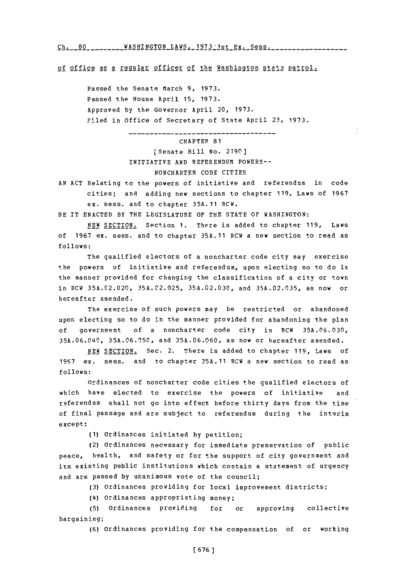**Ch. 80** ---- WASHINGTONLAWSL 1973 1stEx. **Sess.------ ---**

of office as a regular officer of the Washington state patrol.

Passed the Senate March **9, 1973.** Passed the House April **15, 1973.** Approved **by** the Governor April 20, **1973.** Filed in Office of Secretary of State April **23, 1973.**

> CHAPTER **81** (Senate Bill **No. 2190]** INITIATIVE **AND** REFERENDUM POWERS-- NONCHARTER **CODE** CITIES

---------------

**AN ACT** Relating to the powers of initiative and referendum in code cities; and adding new sections to chapter **119,** Laws of **1967** ex. sess. and to chapter **35A.11** RCW.

BE IT **ENACTED** BY THE **LEGISLATURE** OF THE **STATE** OF WASHINGTON:

**NEW** SECTION. Section **1.** There is added to chapter **119,** Laws of **1967** ex. sess. and to chapter **35A.11** RCW a new section to read as **follows:**

The qualified electors of a noncharter code city may exercise the powers of initiative and referendum, upon electing so to do in the manner provided for changing the classification of a city or town in RCW **35A.02.020, 35A.C2.025, 35A.02.030,** and **35A.02.035,** as now or hereafter amended.

The exercise of such powers may be restricted or abandoned upon electing so to do in the manner provided for abandoning the plan **of** government of a noncharter code city in RCW **35A.06.030, 35A.06.04\$0, 35A.06.050,** and **35A.06.060,** as now or hereafter amended.

**NEW** SECTION. Sec. 2. There is added to chapter **119,** Laws **of 1967** ex. sess. and to chapter **35A.11** RCW a new section to read as **follows:**

ordinances of noncharter code cities the qualified electors of which have elected to exercise the powers of initiative and referendum shall not go into effect before thirty days from the time of final passage and are subject to referendum during the interim except:

**(1)** Ordinances initiated **by** petition;

(2) Ordinances necessary for immediate preservation of public peace, health, and safety or for the support of city government and its existing public institutions which contain a statement of urgency and are passed **by** unanimous vote of the council;

**(3)** ordinances providing for local improvement districts;

**(14)** ordinances appropriating money;

**(5)** Ordinances providing for or approving collective bargaining;

**(6)** ordinances providing for the compensation of or working